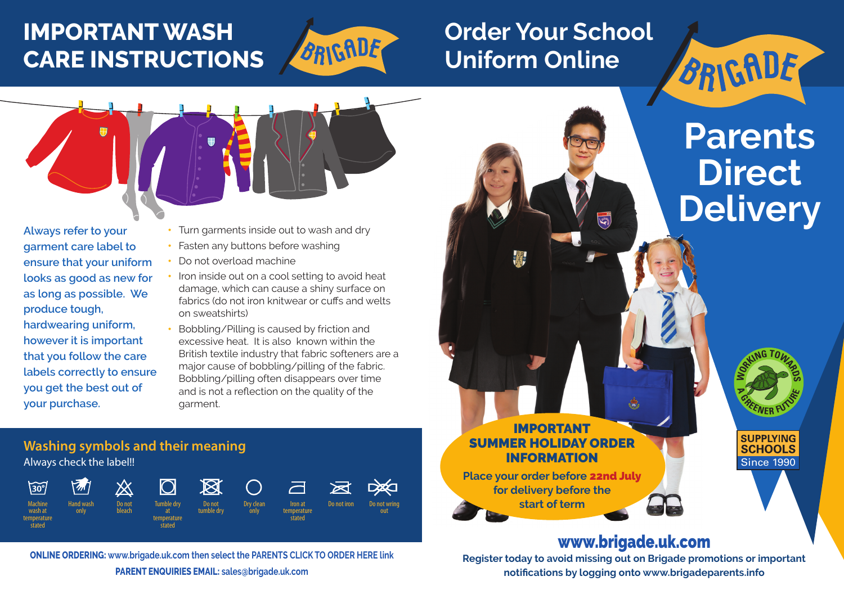# **IMPORTANT WASH CARE INSTRUCTIONS**



# **Order Your School Uniform Online**



**Always refer to your garment care label to ensure that your uniform looks as good as new for as long as possible. We produce tough, hardwearing uniform, however it is important that you follow the care labels correctly to ensure you get the best out of your purchase.** 

- Turn garments inside out to wash and dry
- Fasten any buttons before washing
- Do not overload machine
- Iron inside out on a cool setting to avoid heat damage, which can cause a shiny surface on fabrics (do not iron knitwear or cuffs and welts on sweatshirts)
- Bobbling/Pilling is caused by friction and excessive heat. It is also known within the British textile industry that fabric softeners are a major cause of bobbling/pilling of the fabric. Bobbling/pilling often disappears over time and is not a reflection on the quality of the garment.

# **Washing symbols and their meaning** Always check the label!!



**ONLINE ORDERING: www.brigade.uk.com then select the PARENTS CLICK TO ORDER HERE link**

**PARENT ENQUIRIES EMAIL: sales@brigade.uk.com**

# **Parents Direct Delivery**

BRIGADE

Since 1990

**SUPPLYING SCHOOLS** 

**CO**<br>B<br>B<br>CO

**FULSE** 

**<sup>A</sup> <sup>G</sup>REENER**

# IMPORTANT SUMMER HOLIDAY ORDER INFORMATION

**Place your order before** 22nd July **for delivery before the start of term**

# www.brigade.uk.com

**Allie** 

**Register today to avoid missing out on Brigade promotions or important notifications by logging onto www.brigadeparents.info**